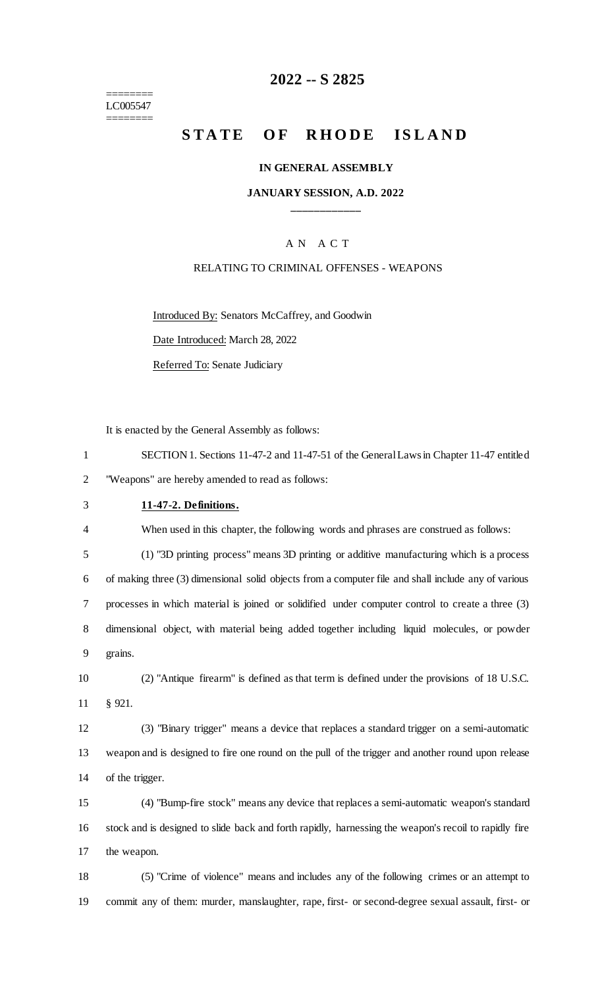======== LC005547 ========

## **-- S 2825**

# **STATE OF RHODE ISLAND**

#### **IN GENERAL ASSEMBLY**

#### **JANUARY SESSION, A.D. 2022 \_\_\_\_\_\_\_\_\_\_\_\_**

#### A N A C T

#### RELATING TO CRIMINAL OFFENSES - WEAPONS

Introduced By: Senators McCaffrey, and Goodwin

Date Introduced: March 28, 2022

Referred To: Senate Judiciary

It is enacted by the General Assembly as follows:

| SECTION 1. Sections 11-47-2 and 11-47-51 of the General Laws in Chapter 11-47 entitled |
|----------------------------------------------------------------------------------------|
| "Weapons" are hereby amended to read as follows:                                       |

## **11-47-2. Definitions.**

When used in this chapter, the following words and phrases are construed as follows:

 (1) "3D printing process" means 3D printing or additive manufacturing which is a process of making three (3) dimensional solid objects from a computer file and shall include any of various processes in which material is joined or solidified under computer control to create a three (3) dimensional object, with material being added together including liquid molecules, or powder grains.

 (2) "Antique firearm" is defined as that term is defined under the provisions of 18 U.S.C. § 921.

 (3) "Binary trigger" means a device that replaces a standard trigger on a semi-automatic weapon and is designed to fire one round on the pull of the trigger and another round upon release of the trigger.

 (4) "Bump-fire stock" means any device that replaces a semi-automatic weapon's standard stock and is designed to slide back and forth rapidly, harnessing the weapon's recoil to rapidly fire the weapon.

 (5) "Crime of violence" means and includes any of the following crimes or an attempt to commit any of them: murder, manslaughter, rape, first- or second-degree sexual assault, first- or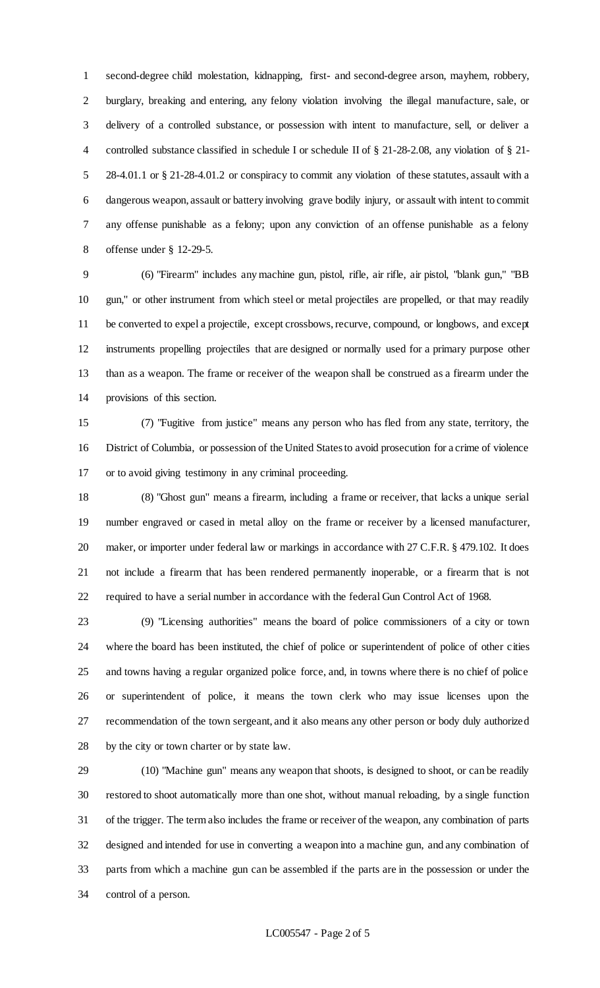second-degree child molestation, kidnapping, first- and second-degree arson, mayhem, robbery, burglary, breaking and entering, any felony violation involving the illegal manufacture, sale, or delivery of a controlled substance, or possession with intent to manufacture, sell, or deliver a controlled substance classified in schedule I or schedule II of § 21-28-2.08, any violation of § 21- 28-4.01.1 or § 21-28-4.01.2 or conspiracy to commit any violation of these statutes, assault with a dangerous weapon, assault or battery involving grave bodily injury, or assault with intent to commit any offense punishable as a felony; upon any conviction of an offense punishable as a felony offense under § 12-29-5.

 (6) "Firearm" includes any machine gun, pistol, rifle, air rifle, air pistol, "blank gun," "BB gun," or other instrument from which steel or metal projectiles are propelled, or that may readily be converted to expel a projectile, except crossbows, recurve, compound, or longbows, and except instruments propelling projectiles that are designed or normally used for a primary purpose other than as a weapon. The frame or receiver of the weapon shall be construed as a firearm under the provisions of this section.

 (7) "Fugitive from justice" means any person who has fled from any state, territory, the District of Columbia, or possession of the United States to avoid prosecution for a crime of violence or to avoid giving testimony in any criminal proceeding.

 (8) "Ghost gun" means a firearm, including a frame or receiver, that lacks a unique serial number engraved or cased in metal alloy on the frame or receiver by a licensed manufacturer, 20 maker, or importer under federal law or markings in accordance with 27 C.F.R. § 479.102. It does not include a firearm that has been rendered permanently inoperable, or a firearm that is not required to have a serial number in accordance with the federal Gun Control Act of 1968.

 (9) "Licensing authorities" means the board of police commissioners of a city or town where the board has been instituted, the chief of police or superintendent of police of other cities and towns having a regular organized police force, and, in towns where there is no chief of police or superintendent of police, it means the town clerk who may issue licenses upon the recommendation of the town sergeant, and it also means any other person or body duly authorized by the city or town charter or by state law.

 (10) "Machine gun" means any weapon that shoots, is designed to shoot, or can be readily restored to shoot automatically more than one shot, without manual reloading, by a single function of the trigger. The term also includes the frame or receiver of the weapon, any combination of parts designed and intended for use in converting a weapon into a machine gun, and any combination of parts from which a machine gun can be assembled if the parts are in the possession or under the control of a person.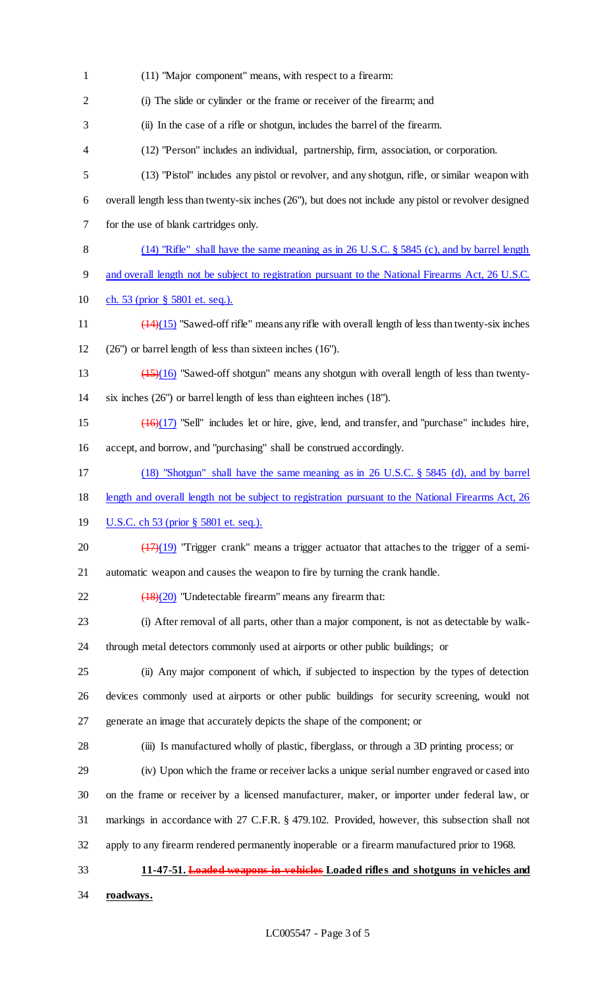(11) "Major component" means, with respect to a firearm: (i) The slide or cylinder or the frame or receiver of the firearm; and (ii) In the case of a rifle or shotgun, includes the barrel of the firearm. (12) "Person" includes an individual, partnership, firm, association, or corporation. (13) "Pistol" includes any pistol or revolver, and any shotgun, rifle, or similar weapon with overall length less than twenty-six inches (26"), but does not include any pistol or revolver designed for the use of blank cartridges only. (14) "Rifle" shall have the same meaning as in 26 U.S.C. § 5845 (c), and by barrel length 9 and overall length not be subject to registration pursuant to the National Firearms Act, 26 U.S.C. ch. 53 (prior § 5801 et. seq.). ( $14$ )(15) "Sawed-off rifle" means any rifle with overall length of less than twenty-six inches (26") or barrel length of less than sixteen inches (16"). (15)(16) "Sawed-off shotgun" means any shotgun with overall length of less than twenty- six inches (26") or barrel length of less than eighteen inches (18"). (16)(17) "Sell" includes let or hire, give, lend, and transfer, and "purchase" includes hire, accept, and borrow, and "purchasing" shall be construed accordingly. (18) "Shotgun" shall have the same meaning as in 26 U.S.C. § 5845 (d), and by barrel length and overall length not be subject to registration pursuant to the National Firearms Act, 26 U.S.C. ch 53 (prior § 5801 et. seq.).  $\left(\frac{(17)(19)}{17}\right)$  "Trigger crank" means a trigger actuator that attaches to the trigger of a semi- automatic weapon and causes the weapon to fire by turning the crank handle.  $\left(\frac{(18)(20)}{20}\right)$  "Undetectable firearm" means any firearm that: (i) After removal of all parts, other than a major component, is not as detectable by walk- through metal detectors commonly used at airports or other public buildings; or (ii) Any major component of which, if subjected to inspection by the types of detection devices commonly used at airports or other public buildings for security screening, would not generate an image that accurately depicts the shape of the component; or (iii) Is manufactured wholly of plastic, fiberglass, or through a 3D printing process; or (iv) Upon which the frame or receiver lacks a unique serial number engraved or cased into on the frame or receiver by a licensed manufacturer, maker, or importer under federal law, or markings in accordance with 27 C.F.R. § 479.102. Provided, however, this subsection shall not apply to any firearm rendered permanently inoperable or a firearm manufactured prior to 1968. **11-47-51. Loaded weapons in vehicles Loaded rifles and shotguns in vehicles and roadways.**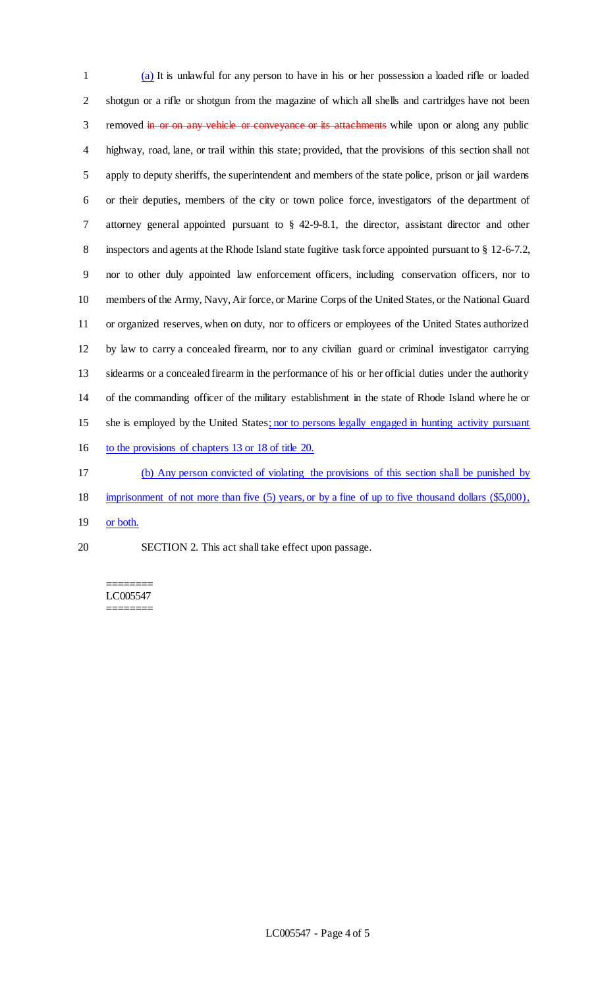(a) It is unlawful for any person to have in his or her possession a loaded rifle or loaded shotgun or a rifle or shotgun from the magazine of which all shells and cartridges have not been 3 removed in or on any vehicle or conveyance or its attachments while upon or along any public highway, road, lane, or trail within this state; provided, that the provisions of this section shall not apply to deputy sheriffs, the superintendent and members of the state police, prison or jail wardens or their deputies, members of the city or town police force, investigators of the department of attorney general appointed pursuant to § 42-9-8.1, the director, assistant director and other inspectors and agents at the Rhode Island state fugitive task force appointed pursuant to § 12-6-7.2, nor to other duly appointed law enforcement officers, including conservation officers, nor to members of the Army, Navy, Air force, or Marine Corps of the United States, or the National Guard or organized reserves, when on duty, nor to officers or employees of the United States authorized by law to carry a concealed firearm, nor to any civilian guard or criminal investigator carrying sidearms or a concealed firearm in the performance of his or her official duties under the authority of the commanding officer of the military establishment in the state of Rhode Island where he or she is employed by the United States; nor to persons legally engaged in hunting activity pursuant to the provisions of chapters 13 or 18 of title 20. (b) Any person convicted of violating the provisions of this section shall be punished by

- imprisonment of not more than five (5) years, or by a fine of up to five thousand dollars (\$5,000),
- 19 or both.
- SECTION 2. This act shall take effect upon passage.

======== LC005547 ========